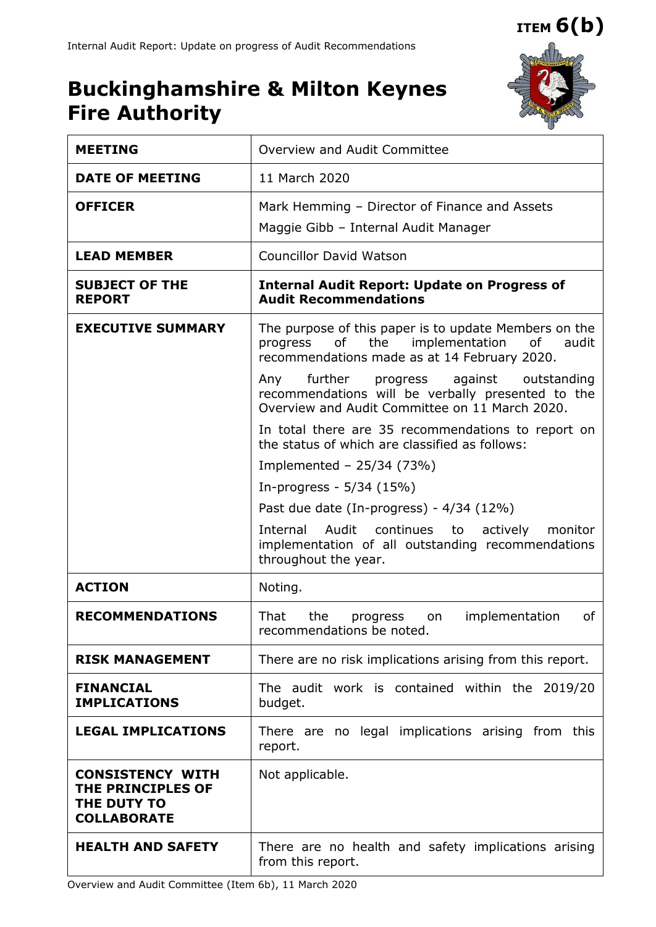**ITEM 6(b)**

## **Buckinghamshire & Milton Keynes Fire Authority**



| <b>MEETING</b>                                                                    | Overview and Audit Committee                                                                                                                                                |  |  |  |  |  |  |
|-----------------------------------------------------------------------------------|-----------------------------------------------------------------------------------------------------------------------------------------------------------------------------|--|--|--|--|--|--|
| <b>DATE OF MEETING</b>                                                            | 11 March 2020                                                                                                                                                               |  |  |  |  |  |  |
| <b>OFFICER</b>                                                                    | Mark Hemming - Director of Finance and Assets<br>Maggie Gibb - Internal Audit Manager                                                                                       |  |  |  |  |  |  |
| <b>LEAD MEMBER</b>                                                                | <b>Councillor David Watson</b>                                                                                                                                              |  |  |  |  |  |  |
| <b>SUBJECT OF THE</b><br><b>REPORT</b>                                            | <b>Internal Audit Report: Update on Progress of</b><br><b>Audit Recommendations</b>                                                                                         |  |  |  |  |  |  |
| <b>EXECUTIVE SUMMARY</b>                                                          | The purpose of this paper is to update Members on the<br>the<br>of the control<br>implementation<br>progress<br>of<br>audit<br>recommendations made as at 14 February 2020. |  |  |  |  |  |  |
|                                                                                   | further<br>against<br>outstanding<br>Any<br>progress<br>recommendations will be verbally presented to the<br>Overview and Audit Committee on 11 March 2020.                 |  |  |  |  |  |  |
|                                                                                   | In total there are 35 recommendations to report on<br>the status of which are classified as follows:                                                                        |  |  |  |  |  |  |
|                                                                                   | Implemented - $25/34$ (73%)                                                                                                                                                 |  |  |  |  |  |  |
|                                                                                   | In-progress - 5/34 (15%)                                                                                                                                                    |  |  |  |  |  |  |
|                                                                                   | Past due date (In-progress) - $4/34$ (12%)                                                                                                                                  |  |  |  |  |  |  |
|                                                                                   | Audit<br>continues to<br>Internal<br>actively<br>monitor<br>implementation of all outstanding recommendations<br>throughout the year.                                       |  |  |  |  |  |  |
| <b>ACTION</b>                                                                     | Noting.                                                                                                                                                                     |  |  |  |  |  |  |
| <b>RECOMMENDATIONS</b>                                                            | That<br>the<br>implementation<br>οf<br>progress<br>on<br>recommendations be noted.                                                                                          |  |  |  |  |  |  |
| <b>RISK MANAGEMENT</b>                                                            | There are no risk implications arising from this report.                                                                                                                    |  |  |  |  |  |  |
| <b>FINANCIAL</b><br><b>IMPLICATIONS</b>                                           | The audit work is contained within the 2019/20<br>budget.                                                                                                                   |  |  |  |  |  |  |
| <b>LEGAL IMPLICATIONS</b>                                                         | There are no legal implications arising from this<br>report.                                                                                                                |  |  |  |  |  |  |
| <b>CONSISTENCY WITH</b><br>THE PRINCIPLES OF<br>THE DUTY TO<br><b>COLLABORATE</b> | Not applicable.                                                                                                                                                             |  |  |  |  |  |  |
| <b>HEALTH AND SAFETY</b>                                                          | There are no health and safety implications arising<br>from this report.                                                                                                    |  |  |  |  |  |  |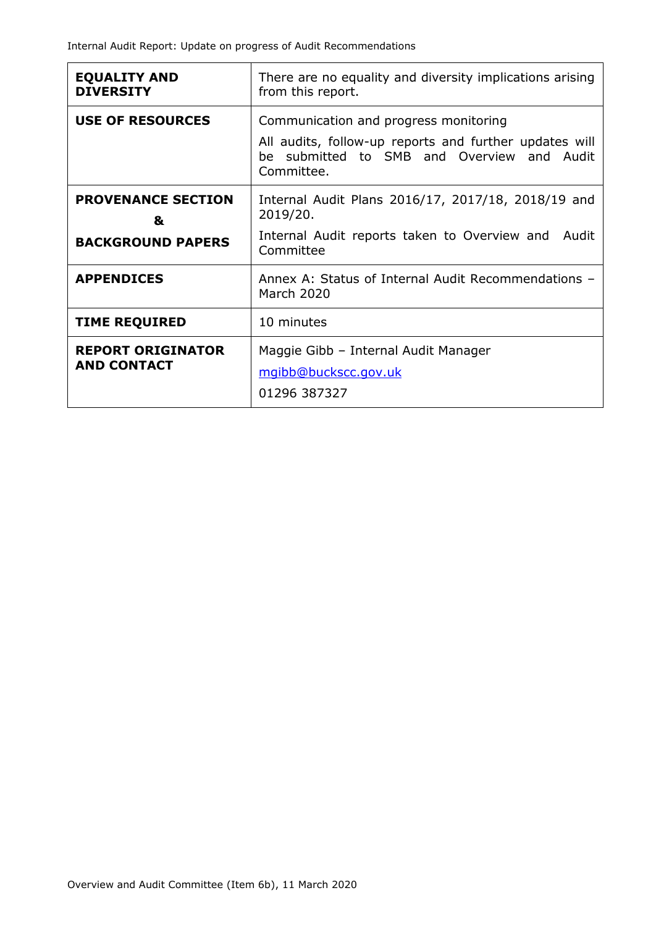| <b>EQUALITY AND</b><br><b>DIVERSITY</b>                    | There are no equality and diversity implications arising<br>from this report.                                                                                    |  |  |  |  |  |  |
|------------------------------------------------------------|------------------------------------------------------------------------------------------------------------------------------------------------------------------|--|--|--|--|--|--|
| <b>USE OF RESOURCES</b>                                    | Communication and progress monitoring<br>All audits, follow-up reports and further updates will<br>submitted to SMB and Overview and Audit<br>he l<br>Committee. |  |  |  |  |  |  |
| <b>PROVENANCE SECTION</b><br>&<br><b>BACKGROUND PAPERS</b> | Internal Audit Plans 2016/17, 2017/18, 2018/19 and<br>2019/20.<br>Internal Audit reports taken to Overview and Audit<br>Committee                                |  |  |  |  |  |  |
| <b>APPENDICES</b>                                          | Annex A: Status of Internal Audit Recommendations -<br><b>March 2020</b>                                                                                         |  |  |  |  |  |  |
| <b>TIME REQUIRED</b>                                       | 10 minutes                                                                                                                                                       |  |  |  |  |  |  |
| <b>REPORT ORIGINATOR</b><br><b>AND CONTACT</b>             | Maggie Gibb - Internal Audit Manager<br>mgibb@buckscc.gov.uk<br>01296 387327                                                                                     |  |  |  |  |  |  |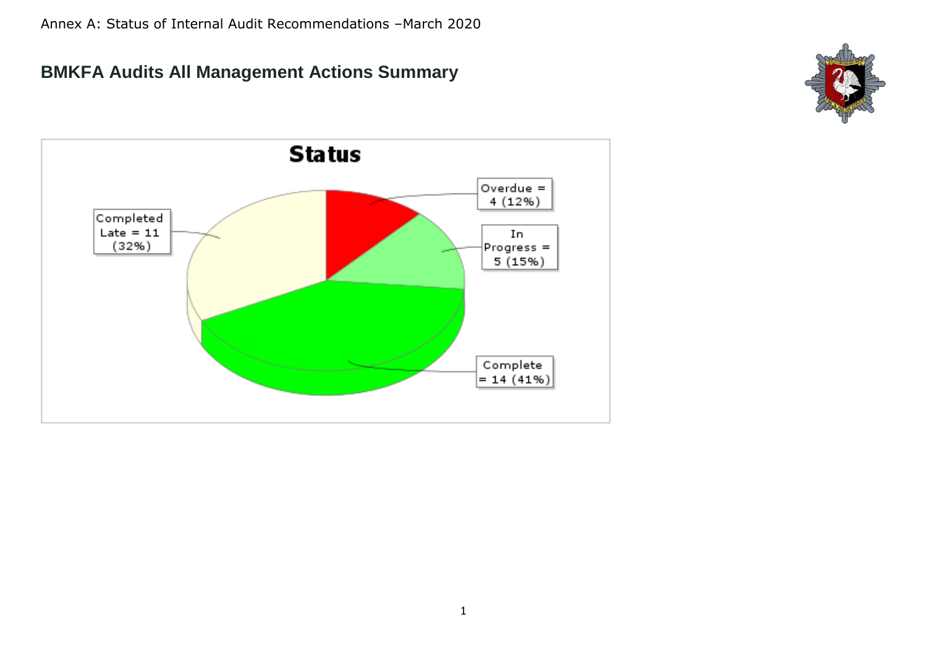## **BMKFA Audits All Management Actions Summary**



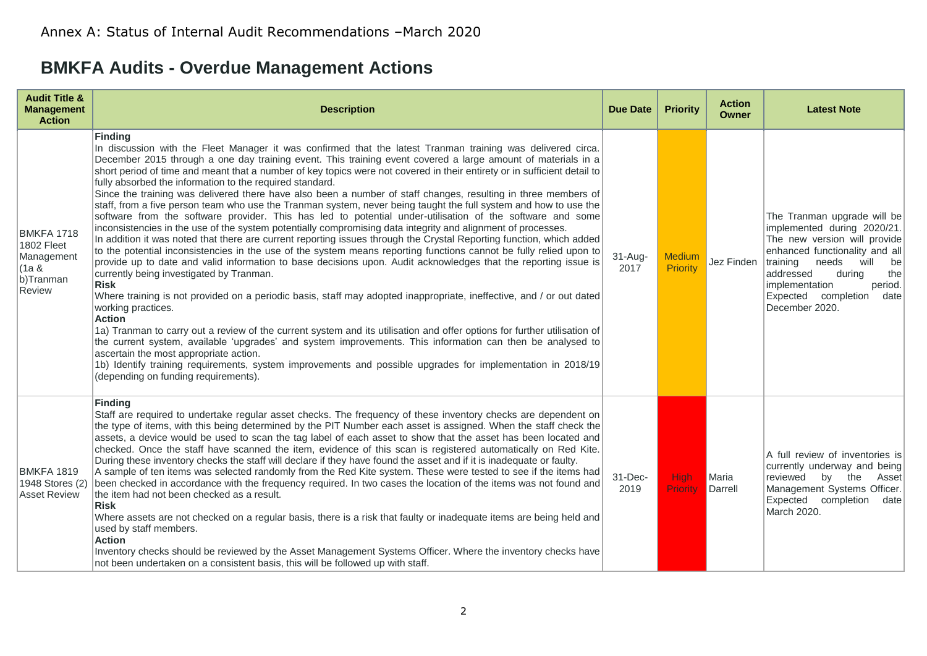## **BMKFA Audits - Overdue Management Actions**

| <b>Audit Title &amp;</b><br><b>Management</b><br><b>Action</b>                | <b>Description</b>                                                                                                                                                                                                                                                                                                                                                                                                                                                                                                                                                                                                                                                                                                                                                                                                                                                                                                                                                                                                                                                                                                                                                                                                                                                                                                                                                                                                                                                                                                                                                                                                                                                                                                                                                                                                                                                                                                                             | Due Date          | <b>Priority</b>           | <b>Action</b><br><b>Owner</b> | <b>Latest Note</b>                                                                                                                                                                                                                                                          |
|-------------------------------------------------------------------------------|------------------------------------------------------------------------------------------------------------------------------------------------------------------------------------------------------------------------------------------------------------------------------------------------------------------------------------------------------------------------------------------------------------------------------------------------------------------------------------------------------------------------------------------------------------------------------------------------------------------------------------------------------------------------------------------------------------------------------------------------------------------------------------------------------------------------------------------------------------------------------------------------------------------------------------------------------------------------------------------------------------------------------------------------------------------------------------------------------------------------------------------------------------------------------------------------------------------------------------------------------------------------------------------------------------------------------------------------------------------------------------------------------------------------------------------------------------------------------------------------------------------------------------------------------------------------------------------------------------------------------------------------------------------------------------------------------------------------------------------------------------------------------------------------------------------------------------------------------------------------------------------------------------------------------------------------|-------------------|---------------------------|-------------------------------|-----------------------------------------------------------------------------------------------------------------------------------------------------------------------------------------------------------------------------------------------------------------------------|
| <b>BMKFA 1718</b><br>1802 Fleet<br>Management<br>(1a &<br>b)Tranman<br>Review | <b>Finding</b><br>In discussion with the Fleet Manager it was confirmed that the latest Tranman training was delivered circa.<br>December 2015 through a one day training event. This training event covered a large amount of materials in a<br>short period of time and meant that a number of key topics were not covered in their entirety or in sufficient detail to<br>fully absorbed the information to the required standard.<br>Since the training was delivered there have also been a number of staff changes, resulting in three members of<br>staff, from a five person team who use the Tranman system, never being taught the full system and how to use the<br>software from the software provider. This has led to potential under-utilisation of the software and some<br>inconsistencies in the use of the system potentially compromising data integrity and alignment of processes.<br>In addition it was noted that there are current reporting issues through the Crystal Reporting function, which added<br>to the potential inconsistencies in the use of the system means reporting functions cannot be fully relied upon to<br>provide up to date and valid information to base decisions upon. Audit acknowledges that the reporting issue is<br>currently being investigated by Tranman.<br><b>Risk</b><br>Where training is not provided on a periodic basis, staff may adopted inappropriate, ineffective, and / or out dated<br>working practices.<br><b>Action</b><br>1a) Tranman to carry out a review of the current system and its utilisation and offer options for further utilisation of<br>the current system, available 'upgrades' and system improvements. This information can then be analysed to<br>ascertain the most appropriate action.<br>1b) Identify training requirements, system improvements and possible upgrades for implementation in 2018/19<br>(depending on funding requirements). | $31-Aug-$<br>2017 | <b>Medium</b><br>Priority | Jez Finden                    | The Tranman upgrade will be<br>implemented during 2020/21.<br>The new version will provide<br>enhanced functionality and all<br>training<br>needs<br>will<br>be<br>addressed<br>during<br>the<br>implementation<br>period.<br>Expected completion<br>date<br>December 2020. |
| <b>BMKFA 1819</b><br>1948 Stores (2)<br><b>Asset Review</b>                   | <b>Finding</b><br>Staff are required to undertake regular asset checks. The frequency of these inventory checks are dependent on<br>the type of items, with this being determined by the PIT Number each asset is assigned. When the staff check the<br>assets, a device would be used to scan the tag label of each asset to show that the asset has been located and<br>checked. Once the staff have scanned the item, evidence of this scan is registered automatically on Red Kite.<br>During these inventory checks the staff will declare if they have found the asset and if it is inadequate or faulty.<br>A sample of ten items was selected randomly from the Red Kite system. These were tested to see if the items had<br>been checked in accordance with the frequency required. In two cases the location of the items was not found and<br>the item had not been checked as a result.<br><b>Risk</b><br>Where assets are not checked on a regular basis, there is a risk that faulty or inadequate items are being held and<br>used by staff members.<br><b>Action</b><br>Inventory checks should be reviewed by the Asset Management Systems Officer. Where the inventory checks have<br>not been undertaken on a consistent basis, this will be followed up with staff.                                                                                                                                                                                                                                                                                                                                                                                                                                                                                                                                                                                                                                                       | 31-Dec-<br>2019   | <b>High</b><br>Priority   | Maria<br>Darrell              | A full review of inventories is<br>currently underway and being<br>reviewed<br>by the<br>Asset<br>Management Systems Officer.<br>Expected completion<br>date<br>March 2020.                                                                                                 |